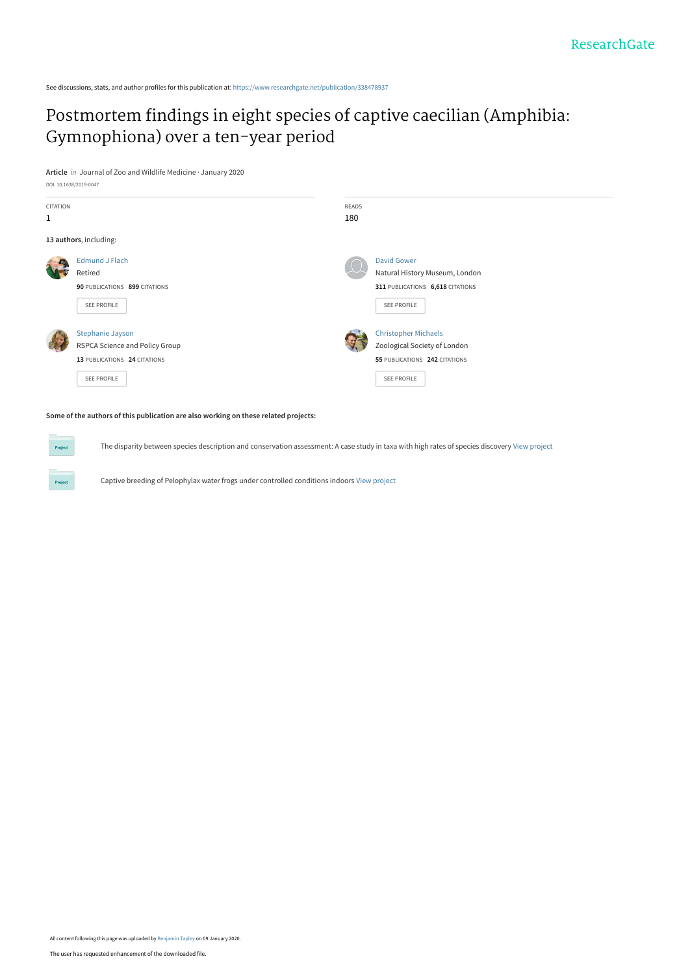See discussions, stats, and author profiles for this publication at: [https://www.researchgate.net/publication/338478937](https://www.researchgate.net/publication/338478937_Postmortem_findings_in_eight_species_of_captive_caecilian_Amphibia_Gymnophiona_over_a_ten-year_period?enrichId=rgreq-fc0af9c89cce07cec9d26fe18faac6c4-XXX&enrichSource=Y292ZXJQYWdlOzMzODQ3ODkzNztBUzo4NDUzNDg2NzEwNzAyMDhAMTU3ODU1ODIzNzEyMQ%3D%3D&el=1_x_2&_esc=publicationCoverPdf)

# [Postmortem findings in eight species of captive caecilian \(Amphibia:](https://www.researchgate.net/publication/338478937_Postmortem_findings_in_eight_species_of_captive_caecilian_Amphibia_Gymnophiona_over_a_ten-year_period?enrichId=rgreq-fc0af9c89cce07cec9d26fe18faac6c4-XXX&enrichSource=Y292ZXJQYWdlOzMzODQ3ODkzNztBUzo4NDUzNDg2NzEwNzAyMDhAMTU3ODU1ODIzNzEyMQ%3D%3D&el=1_x_3&_esc=publicationCoverPdf) Gymnophiona) over a ten-year period

**Article** in Journal of Zoo and Wildlife Medicine · January 2020 DOI: 10.1638/2019-0047

| CITATION |                                | <b>READS</b> |                                  |
|----------|--------------------------------|--------------|----------------------------------|
| 1        |                                | 180          |                                  |
|          | 13 authors, including:         |              |                                  |
|          | <b>Edmund J Flach</b>          |              | <b>David Gower</b>               |
| [√       | Retired                        |              | Natural History Museum, London   |
|          | 90 PUBLICATIONS 899 CITATIONS  |              | 311 PUBLICATIONS 6,618 CITATIONS |
|          | SEE PROFILE                    |              | SEE PROFILE                      |
|          | <b>Stephanie Jayson</b>        |              | <b>Christopher Michaels</b>      |
|          | RSPCA Science and Policy Group |              | Zoological Society of London     |
|          | 13 PUBLICATIONS 24 CITATIONS   |              | 55 PUBLICATIONS 242 CITATIONS    |
|          | SEE PROFILE                    |              | SEE PROFILE                      |
|          |                                |              |                                  |

#### **Some of the authors of this publication are also working on these related projects:**

The disparity between species description and conservation assessment: A case study in taxa with high rates of species discovery [View project](https://www.researchgate.net/project/The-disparity-between-species-description-and-conservation-assessment-A-case-study-in-taxa-with-high-rates-of-species-discovery?enrichId=rgreq-fc0af9c89cce07cec9d26fe18faac6c4-XXX&enrichSource=Y292ZXJQYWdlOzMzODQ3ODkzNztBUzo4NDUzNDg2NzEwNzAyMDhAMTU3ODU1ODIzNzEyMQ%3D%3D&el=1_x_9&_esc=publicationCoverPdf)

Captive breeding of Pelophylax water frogs under controlled conditions indoors [View project](https://www.researchgate.net/project/Captive-breeding-of-Pelophylax-water-frogs-under-controlled-conditions-indoors?enrichId=rgreq-fc0af9c89cce07cec9d26fe18faac6c4-XXX&enrichSource=Y292ZXJQYWdlOzMzODQ3ODkzNztBUzo4NDUzNDg2NzEwNzAyMDhAMTU3ODU1ODIzNzEyMQ%3D%3D&el=1_x_9&_esc=publicationCoverPdf)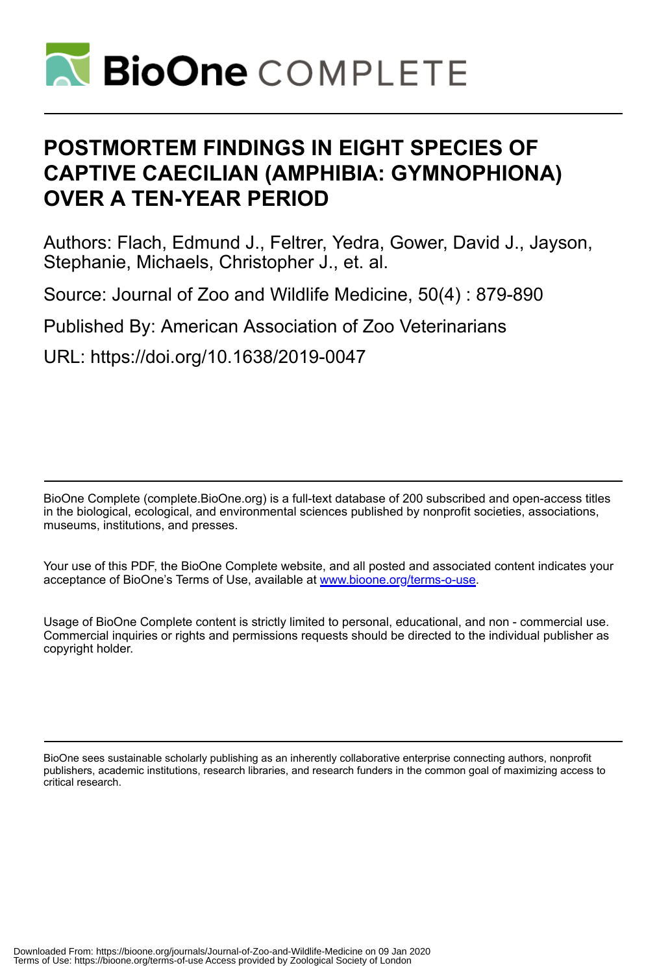

# **POSTMORTEM FINDINGS IN EIGHT SPECIES OF CAPTIVE CAECILIAN (AMPHIBIA: GYMNOPHIONA) OVER A TEN-YEAR PERIOD**

Authors: Flach, Edmund J., Feltrer, Yedra, Gower, David J., Jayson, Stephanie, Michaels, Christopher J., et. al.

Source: Journal of Zoo and Wildlife Medicine, 50(4) : 879-890

Published By: American Association of Zoo Veterinarians

URL: https://doi.org/10.1638/2019-0047

BioOne Complete (complete.BioOne.org) is a full-text database of 200 subscribed and open-access titles in the biological, ecological, and environmental sciences published by nonprofit societies, associations, museums, institutions, and presses.

Your use of this PDF, the BioOne Complete website, and all posted and associated content indicates your acceptance of BioOne's Terms of Use, available at www.bioone.org/terms-o-use.

Usage of BioOne Complete content is strictly limited to personal, educational, and non - commercial use. Commercial inquiries or rights and permissions requests should be directed to the individual publisher as copyright holder.

BioOne sees sustainable scholarly publishing as an inherently collaborative enterprise connecting authors, nonprofit publishers, academic institutions, research libraries, and research funders in the common goal of maximizing access to critical research.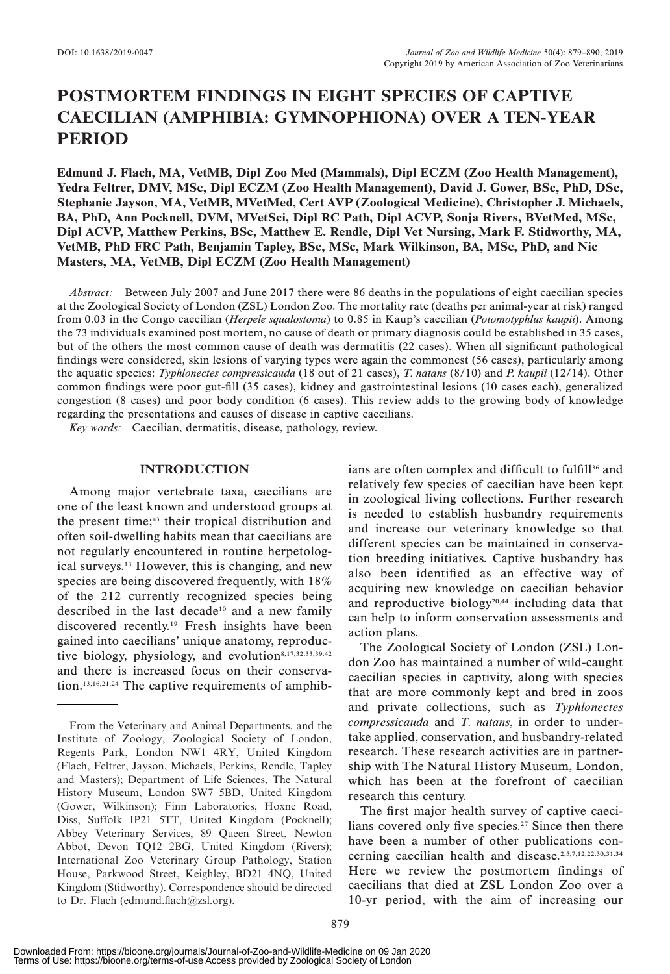# POSTMORTEM FINDINGS IN EIGHT SPECIES OF CAPTIVE CAECILIAN (AMPHIBIA: GYMNOPHIONA) OVER A TEN-YEAR PERIOD

Edmund J. Flach, MA, VetMB, Dipl Zoo Med (Mammals), Dipl ECZM (Zoo Health Management), Yedra Feltrer, DMV, MSc, Dipl ECZM (Zoo Health Management), David J. Gower, BSc, PhD, DSc, Stephanie Jayson, MA, VetMB, MVetMed, Cert AVP (Zoological Medicine), Christopher J. Michaels, BA, PhD, Ann Pocknell, DVM, MVetSci, Dipl RC Path, Dipl ACVP, Sonja Rivers, BVetMed, MSc, Dipl ACVP, Matthew Perkins, BSc, Matthew E. Rendle, Dipl Vet Nursing, Mark F. Stidworthy, MA, VetMB, PhD FRC Path, Benjamin Tapley, BSc, MSc, Mark Wilkinson, BA, MSc, PhD, and Nic Masters, MA, VetMB, Dipl ECZM (Zoo Health Management)

Abstract: Between July 2007 and June 2017 there were 86 deaths in the populations of eight caecilian species at the Zoological Society of London (ZSL) London Zoo. The mortality rate (deaths per animal-year at risk) ranged from 0.03 in the Congo caecilian (Herpele squalostoma) to 0.85 in Kaup's caecilian (Potomotyphlus kaupii). Among the 73 individuals examined post mortem, no cause of death or primary diagnosis could be established in 35 cases, but of the others the most common cause of death was dermatitis (22 cases). When all significant pathological findings were considered, skin lesions of varying types were again the commonest (56 cases), particularly among the aquatic species: Typhlonectes compressicauda (18 out of 21 cases), T. natans  $(8/10)$  and P. kaupii (12/14). Other common findings were poor gut-fill (35 cases), kidney and gastrointestinal lesions (10 cases each), generalized congestion (8 cases) and poor body condition (6 cases). This review adds to the growing body of knowledge regarding the presentations and causes of disease in captive caecilians.

Key words: Caecilian, dermatitis, disease, pathology, review.

# INTRODUCTION

Among major vertebrate taxa, caecilians are one of the least known and understood groups at the present time;<sup>43</sup> their tropical distribution and often soil-dwelling habits mean that caecilians are not regularly encountered in routine herpetological surveys.13 However, this is changing, and new species are being discovered frequently, with 18% of the 212 currently recognized species being described in the last decade<sup>10</sup> and a new family discovered recently.19 Fresh insights have been gained into caecilians' unique anatomy, reproductive biology, physiology, and evolution<sup>8,17,32,33,39,42</sup> and there is increased focus on their conservation.13,16,21,24 The captive requirements of amphibians are often complex and difficult to fulfill<sup>36</sup> and relatively few species of caecilian have been kept in zoological living collections. Further research is needed to establish husbandry requirements and increase our veterinary knowledge so that different species can be maintained in conservation breeding initiatives. Captive husbandry has also been identified as an effective way of acquiring new knowledge on caecilian behavior and reproductive biology<sup>20,44</sup> including data that can help to inform conservation assessments and action plans.

The Zoological Society of London (ZSL) London Zoo has maintained a number of wild-caught caecilian species in captivity, along with species that are more commonly kept and bred in zoos and private collections, such as Typhlonectes compressicauda and T. natans, in order to undertake applied, conservation, and husbandry-related research. These research activities are in partnership with The Natural History Museum, London, which has been at the forefront of caecilian research this century.

The first major health survey of captive caecilians covered only five species.<sup>27</sup> Since then there have been a number of other publications concerning caecilian health and disease.2,5,7,12,22,30,31,34 Here we review the postmortem findings of caecilians that died at ZSL London Zoo over a 10-yr period, with the aim of increasing our

From the Veterinary and Animal Departments, and the Institute of Zoology, Zoological Society of London, Regents Park, London NW1 4RY, United Kingdom (Flach, Feltrer, Jayson, Michaels, Perkins, Rendle, Tapley and Masters); Department of Life Sciences, The Natural History Museum, London SW7 5BD, United Kingdom (Gower, Wilkinson); Finn Laboratories, Hoxne Road, Diss, Suffolk IP21 5TT, United Kingdom (Pocknell); Abbey Veterinary Services, 89 Queen Street, Newton Abbot, Devon TQ12 2BG, United Kingdom (Rivers); International Zoo Veterinary Group Pathology, Station House, Parkwood Street, Keighley, BD21 4NQ, United Kingdom (Stidworthy). Correspondence should be directed to Dr. Flach (edmund.flach@zsl.org).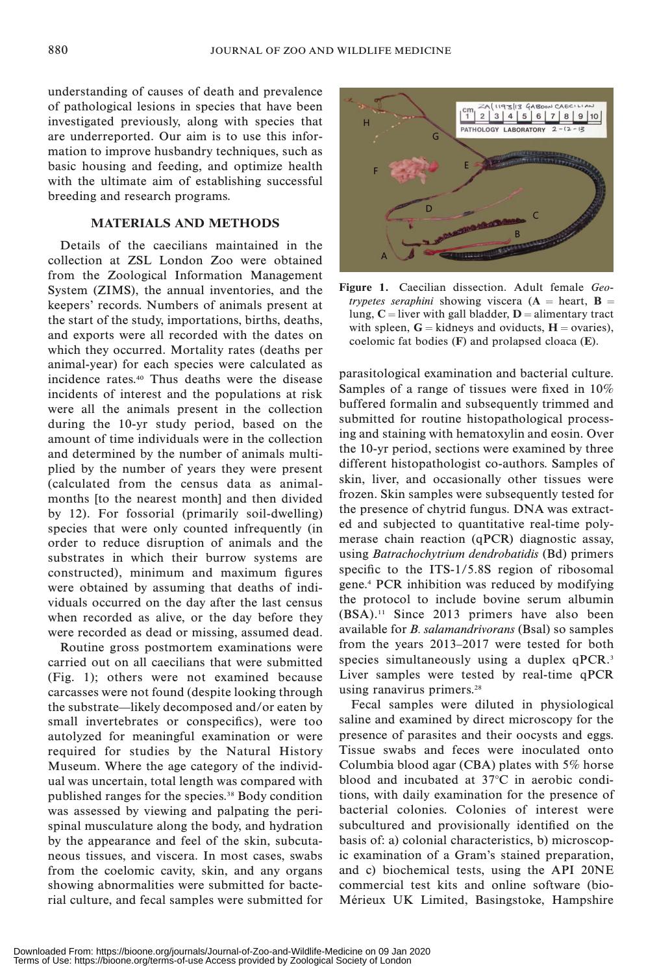understanding of causes of death and prevalence of pathological lesions in species that have been investigated previously, along with species that are underreported. Our aim is to use this information to improve husbandry techniques, such as basic housing and feeding, and optimize health with the ultimate aim of establishing successful breeding and research programs.

### MATERIALS AND METHODS

Details of the caecilians maintained in the collection at ZSL London Zoo were obtained from the Zoological Information Management System (ZIMS), the annual inventories, and the keepers' records. Numbers of animals present at the start of the study, importations, births, deaths, and exports were all recorded with the dates on which they occurred. Mortality rates (deaths per animal-year) for each species were calculated as incidence rates.40 Thus deaths were the disease incidents of interest and the populations at risk were all the animals present in the collection during the 10-yr study period, based on the amount of time individuals were in the collection and determined by the number of animals multiplied by the number of years they were present (calculated from the census data as animalmonths [to the nearest month] and then divided by 12). For fossorial (primarily soil-dwelling) species that were only counted infrequently (in order to reduce disruption of animals and the substrates in which their burrow systems are constructed), minimum and maximum figures were obtained by assuming that deaths of individuals occurred on the day after the last census when recorded as alive, or the day before they were recorded as dead or missing, assumed dead.

Routine gross postmortem examinations were carried out on all caecilians that were submitted (Fig. 1); others were not examined because carcasses were not found (despite looking through the substrate—likely decomposed and/or eaten by small invertebrates or conspecifics), were too autolyzed for meaningful examination or were required for studies by the Natural History Museum. Where the age category of the individual was uncertain, total length was compared with published ranges for the species.38 Body condition was assessed by viewing and palpating the perispinal musculature along the body, and hydration by the appearance and feel of the skin, subcutaneous tissues, and viscera. In most cases, swabs from the coelomic cavity, skin, and any organs showing abnormalities were submitted for bacterial culture, and fecal samples were submitted for



Figure 1. Caecilian dissection. Adult female Geotrypetes seraphini showing viscera ( $A =$  heart,  $B =$ lung,  $C =$  liver with gall bladder,  $D =$  alimentary tract with spleen,  $G =$  kidneys and oviducts,  $H =$  ovaries), coelomic fat bodies (F) and prolapsed cloaca (E).

parasitological examination and bacterial culture. Samples of a range of tissues were fixed in 10% buffered formalin and subsequently trimmed and submitted for routine histopathological processing and staining with hematoxylin and eosin. Over the 10-yr period, sections were examined by three different histopathologist co-authors. Samples of skin, liver, and occasionally other tissues were frozen. Skin samples were subsequently tested for the presence of chytrid fungus. DNA was extracted and subjected to quantitative real-time polymerase chain reaction (qPCR) diagnostic assay, using Batrachochytrium dendrobatidis (Bd) primers specific to the ITS-1/5.8S region of ribosomal gene.4 PCR inhibition was reduced by modifying the protocol to include bovine serum albumin (BSA).11 Since 2013 primers have also been available for B. salamandrivorans (Bsal) so samples from the years 2013–2017 were tested for both species simultaneously using a duplex qPCR.<sup>3</sup> Liver samples were tested by real-time qPCR using ranavirus primers.<sup>28</sup>

Fecal samples were diluted in physiological saline and examined by direct microscopy for the presence of parasites and their oocysts and eggs. Tissue swabs and feces were inoculated onto Columbia blood agar (CBA) plates with 5% horse blood and incubated at  $37^{\circ}$ C in aerobic conditions, with daily examination for the presence of bacterial colonies. Colonies of interest were subcultured and provisionally identified on the basis of: a) colonial characteristics, b) microscopic examination of a Gram's stained preparation, and c) biochemical tests, using the API 20NE commercial test kits and online software (bio-Mérieux UK Limited, Basingstoke, Hampshire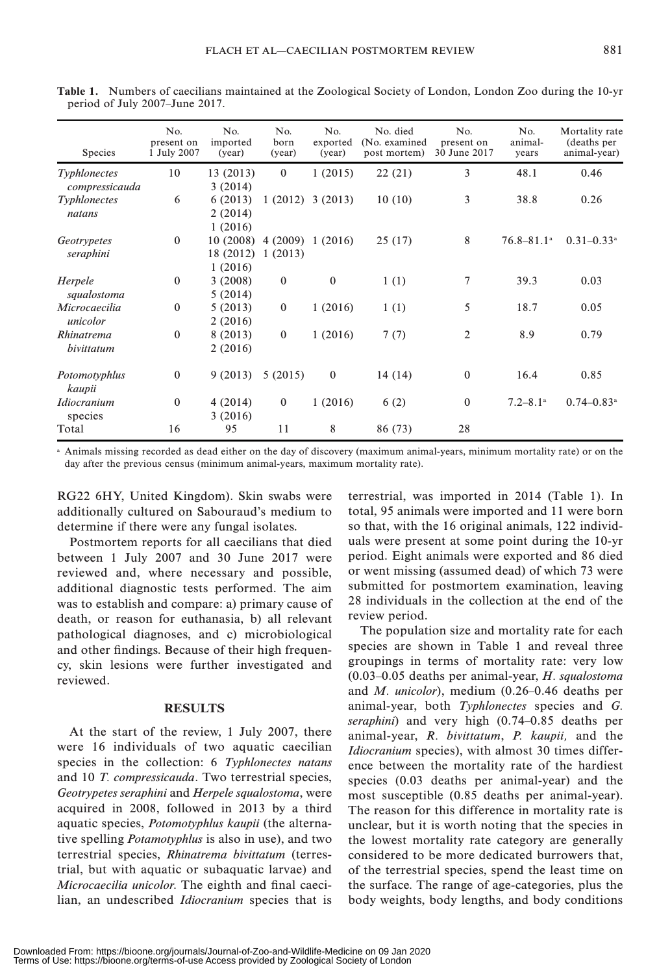| Species                        | No.<br>present on<br>1 July 2007 | No.<br>imported<br>(year)        | No.<br>born<br>(year)      | No.<br>exported<br>(year) | No. died<br>(No. examined)<br>post mortem) | No.<br>present on<br>30 June 2017 | No.<br>animal-<br>years    | Mortality rate<br>(deaths per<br>animal-year) |
|--------------------------------|----------------------------------|----------------------------------|----------------------------|---------------------------|--------------------------------------------|-----------------------------------|----------------------------|-----------------------------------------------|
| Typhlonectes<br>compressicauda | 10                               | 13 (2013)<br>3(2014)             | $\theta$                   | 1(2015)                   | 22(21)                                     | 3                                 | 48.1                       | 0.46                                          |
| Typhlonectes<br>natans         | 6                                | 6(2013)<br>2(2014)               |                            | $1(2012)$ 3 (2013)        | 10(10)                                     | 3                                 | 38.8                       | 0.26                                          |
| Geotrypetes<br>seraphini       | $\theta$                         | 1(2016)<br>10(2008)<br>18 (2012) | 4(2009) 1(2016)<br>1(2013) |                           | 25(17)                                     | 8                                 | $76.8 - 81.1$ <sup>a</sup> | $0.31 - 0.33$ <sup>a</sup>                    |
| Herpele<br>squalostoma         | $\mathbf{0}$                     | 1(2016)<br>3(2008)<br>5(2014)    | $\mathbf{0}$               | $\bf{0}$                  | 1(1)                                       | 7                                 | 39.3                       | 0.03                                          |
| Microcaecilia<br>unicolor      | $\Omega$                         | 5(2013)<br>2(2016)               | $\mathbf{0}$               | 1(2016)                   | 1(1)                                       | 5                                 | 18.7                       | 0.05                                          |
| Rhinatrema<br>bivittatum       | $\theta$                         | 8 (2013)<br>2(2016)              | $\mathbf{0}$               | 1(2016)                   | 7(7)                                       | $\overline{2}$                    | 8.9                        | 0.79                                          |
| Potomotyphlus<br>kaupii        | $\mathbf{0}$                     | 9(2013)                          | 5(2015)                    | $\mathbf{0}$              | 14 (14)                                    | $\mathbf{0}$                      | 16.4                       | 0.85                                          |
| <b>Idiocranium</b><br>species  | $\theta$                         | 4(2014)<br>3(2016)               | $\mathbf{0}$               | 1(2016)                   | 6(2)                                       | $\mathbf{0}$                      | $7.2 - 8.1$ <sup>a</sup>   | $0.74 - 0.83$ <sup>a</sup>                    |
| Total                          | 16                               | 95                               | 11                         | 8                         | 86 (73)                                    | 28                                |                            |                                               |

Table 1. Numbers of caecilians maintained at the Zoological Society of London, London Zoo during the 10-yr period of July 2007–June 2017.

<sup>a</sup> Animals missing recorded as dead either on the day of discovery (maximum animal-years, minimum mortality rate) or on the day after the previous census (minimum animal-years, maximum mortality rate).

RG22 6HY, United Kingdom). Skin swabs were additionally cultured on Sabouraud's medium to determine if there were any fungal isolates.

Postmortem reports for all caecilians that died between 1 July 2007 and 30 June 2017 were reviewed and, where necessary and possible, additional diagnostic tests performed. The aim was to establish and compare: a) primary cause of death, or reason for euthanasia, b) all relevant pathological diagnoses, and c) microbiological and other findings. Because of their high frequency, skin lesions were further investigated and reviewed.

### RESULTS

At the start of the review, 1 July 2007, there were 16 individuals of two aquatic caecilian species in the collection: 6 Typhlonectes natans and 10 T. compressicauda. Two terrestrial species, Geotrypetes seraphini and Herpele squalostoma, were acquired in 2008, followed in 2013 by a third aquatic species, Potomotyphlus kaupii (the alternative spelling Potamotyphlus is also in use), and two terrestrial species, Rhinatrema bivittatum (terrestrial, but with aquatic or subaquatic larvae) and Microcaecilia unicolor. The eighth and final caecilian, an undescribed Idiocranium species that is terrestrial, was imported in 2014 (Table 1). In total, 95 animals were imported and 11 were born so that, with the 16 original animals, 122 individuals were present at some point during the 10-yr period. Eight animals were exported and 86 died or went missing (assumed dead) of which 73 were submitted for postmortem examination, leaving 28 individuals in the collection at the end of the review period.

The population size and mortality rate for each species are shown in Table 1 and reveal three groupings in terms of mortality rate: very low (0.03–0.05 deaths per animal-year, H. squalostoma and M. unicolor), medium (0.26–0.46 deaths per animal-year, both Typhlonectes species and G. seraphini) and very high (0.74–0.85 deaths per animal-year, R. bivittatum, P. kaupii, and the Idiocranium species), with almost 30 times difference between the mortality rate of the hardiest species (0.03 deaths per animal-year) and the most susceptible (0.85 deaths per animal-year). The reason for this difference in mortality rate is unclear, but it is worth noting that the species in the lowest mortality rate category are generally considered to be more dedicated burrowers that, of the terrestrial species, spend the least time on the surface. The range of age-categories, plus the body weights, body lengths, and body conditions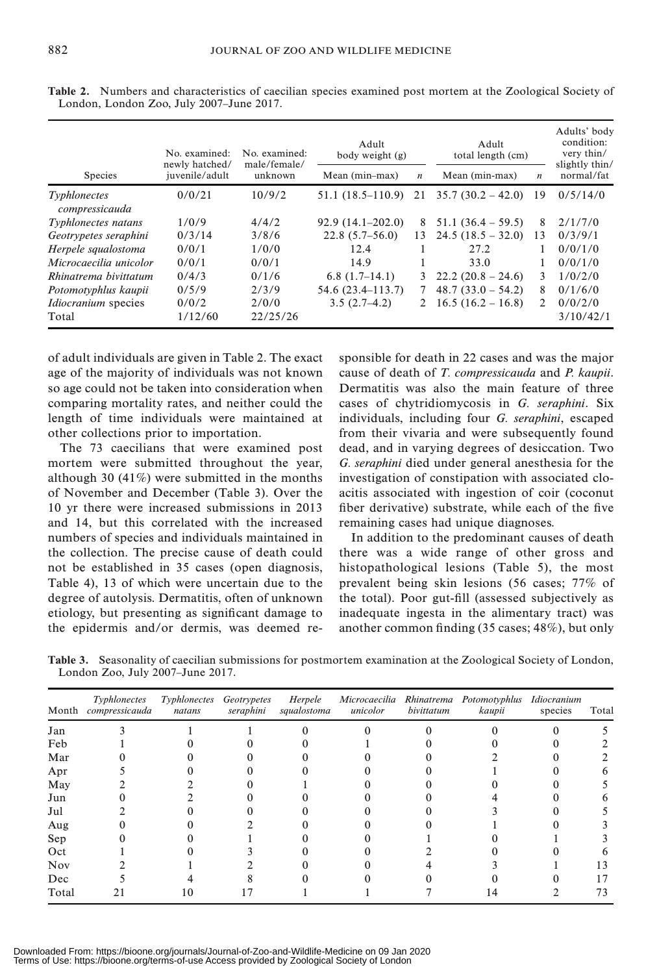|                                | No. examined:<br>newly hatched/ | No. examined:<br>male/female/ | Adult<br>body weight (g) |                  | Adult<br>total length (cm) |                  | Adults' body<br>condition:<br>very thin/<br>slightly thin/ |
|--------------------------------|---------------------------------|-------------------------------|--------------------------|------------------|----------------------------|------------------|------------------------------------------------------------|
| <b>Species</b>                 | juvenile/adult                  | unknown                       | Mean (min-max)           | $\boldsymbol{n}$ | Mean (min-max)             | $\boldsymbol{n}$ | normal/fat                                                 |
| Typhlonectes<br>compressicauda | 0/0/21                          | 10/9/2                        | $51.1(18.5-110.9)$       | 21               | $35.7(30.2 - 42.0)$        | 19               | 0/5/14/0                                                   |
| Typhlonectes natans            | 1/0/9                           | 4/4/2                         | $92.9(14.1 - 202.0)$     | 8                | $51.1(36.4 - 59.5)$        | 8                | 2/1/7/0                                                    |
| Geotrypetes seraphini          | 0/3/14                          | 3/8/6                         | $22.8(5.7-56.0)$         | 13               | $24.5(18.5 - 32.0)$        | 13               | 0/3/9/1                                                    |
| Herpele squalostoma            | 0/0/1                           | 1/0/0                         | 12.4                     |                  | 27.2                       |                  | 0/0/1/0                                                    |
| Microcaecilia unicolor         | 0/0/1                           | 0/0/1                         | 14.9                     |                  | 33.0                       |                  | 0/0/1/0                                                    |
| Rhinatrema bivittatum          | 0/4/3                           | 0/1/6                         | $6.8(1.7-14.1)$          | 3                | $22.2(20.8 - 24.6)$        | 3                | 1/0/2/0                                                    |
| Potomotyphlus kaupii           | 0/5/9                           | 2/3/9                         | 54.6 (23.4–113.7)        |                  | $48.7(33.0 - 54.2)$        | 8                | 0/1/6/0                                                    |
| <i>Idiocranium</i> species     | 0/0/2                           | 2/0/0                         | $3.5(2.7-4.2)$           | 2                | $16.5(16.2 - 16.8)$        | $\mathcal{L}$    | 0/0/2/0                                                    |
| Total                          | 1/12/60                         | 22/25/26                      |                          |                  |                            |                  | 3/10/42/1                                                  |

Table 2. Numbers and characteristics of caecilian species examined post mortem at the Zoological Society of London, London Zoo, July 2007–June 2017.

of adult individuals are given in Table 2. The exact age of the majority of individuals was not known so age could not be taken into consideration when comparing mortality rates, and neither could the length of time individuals were maintained at other collections prior to importation.

The 73 caecilians that were examined post mortem were submitted throughout the year, although 30 (41%) were submitted in the months of November and December (Table 3). Over the 10 yr there were increased submissions in 2013 and 14, but this correlated with the increased numbers of species and individuals maintained in the collection. The precise cause of death could not be established in 35 cases (open diagnosis, Table 4), 13 of which were uncertain due to the degree of autolysis. Dermatitis, often of unknown etiology, but presenting as significant damage to the epidermis and/or dermis, was deemed responsible for death in 22 cases and was the major cause of death of T. compressicauda and P. kaupii. Dermatitis was also the main feature of three cases of chytridiomycosis in G. seraphini. Six individuals, including four G. seraphini, escaped from their vivaria and were subsequently found dead, and in varying degrees of desiccation. Two G. seraphini died under general anesthesia for the investigation of constipation with associated cloacitis associated with ingestion of coir (coconut fiber derivative) substrate, while each of the five remaining cases had unique diagnoses.

In addition to the predominant causes of death there was a wide range of other gross and histopathological lesions (Table 5), the most prevalent being skin lesions (56 cases; 77% of the total). Poor gut-fill (assessed subjectively as inadequate ingesta in the alimentary tract) was another common finding (35 cases; 48%), but only

Table 3. Seasonality of caecilian submissions for postmortem examination at the Zoological Society of London, London Zoo, July 2007–June 2017.

|            | Typhlonectes<br>Month compressicauda | Typhlonectes Geotrypetes<br>natans | seraphini | Herpele<br>squalostoma | unicolor | bivittatum | Microcaecilia Rhinatrema Potomotyphlus Idiocranium<br>kaupii | species | Total |
|------------|--------------------------------------|------------------------------------|-----------|------------------------|----------|------------|--------------------------------------------------------------|---------|-------|
| Jan        |                                      |                                    |           |                        |          |            |                                                              |         |       |
| Feb        |                                      |                                    |           |                        |          |            |                                                              |         |       |
| Mar        |                                      |                                    |           |                        |          |            |                                                              |         |       |
| Apr        |                                      |                                    |           |                        |          |            |                                                              |         |       |
| May        |                                      |                                    |           |                        |          |            |                                                              |         |       |
| Jun        |                                      |                                    |           |                        |          |            |                                                              |         |       |
| Jul        |                                      |                                    |           |                        |          |            |                                                              |         |       |
| Aug        |                                      |                                    |           |                        |          |            |                                                              |         |       |
| Sep        |                                      |                                    |           |                        |          |            |                                                              |         |       |
| Oct        |                                      |                                    |           |                        |          |            |                                                              |         |       |
| <b>Nov</b> |                                      |                                    |           |                        |          |            |                                                              |         | 13    |
| Dec        |                                      |                                    |           |                        |          |            |                                                              |         |       |
| Total      |                                      | 10                                 |           |                        |          |            | 14                                                           |         | 73    |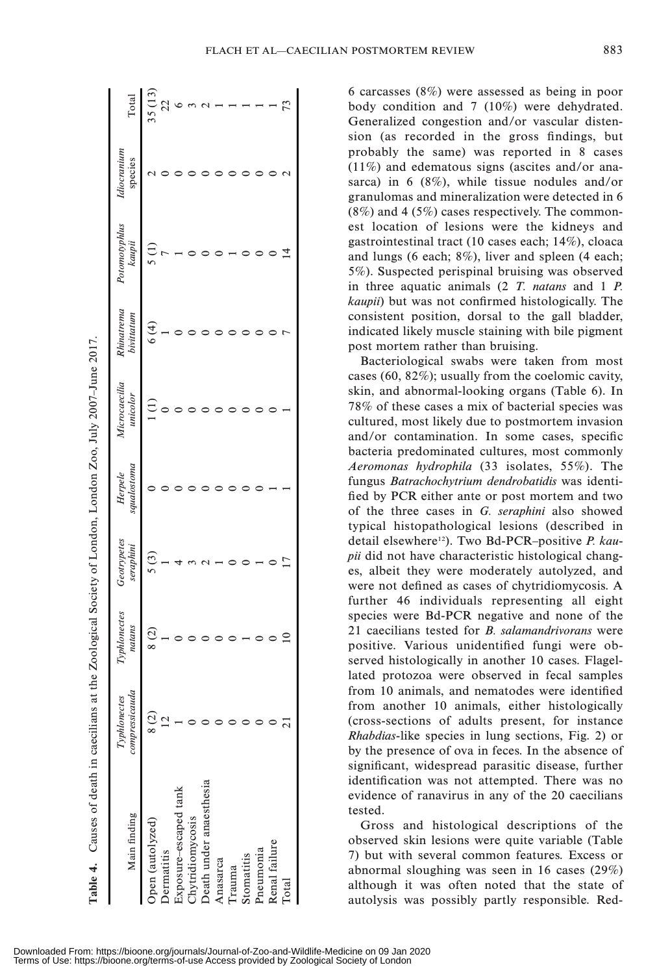| l           |
|-------------|
| l           |
|             |
|             |
|             |
|             |
|             |
| Ì           |
|             |
|             |
|             |
| I           |
|             |
|             |
|             |
|             |
|             |
|             |
|             |
| ׇ֚֚֡֬       |
|             |
|             |
|             |
|             |
|             |
|             |
|             |
| l<br>ï      |
|             |
|             |
|             |
| ֚֚֚֬        |
|             |
|             |
|             |
| l           |
|             |
|             |
|             |
|             |
|             |
|             |
|             |
|             |
|             |
| I           |
|             |
|             |
|             |
|             |
| i           |
|             |
|             |
|             |
|             |
| ፡           |
|             |
|             |
|             |
|             |
|             |
|             |
|             |
|             |
|             |
|             |
|             |
|             |
|             |
|             |
|             |
|             |
|             |
| Ì           |
| l           |
|             |
|             |
|             |
|             |
|             |
| Ē           |
|             |
|             |
| í<br>E<br>֕ |

L.

| <b>Table 4.</b> Causes of death in caecilians at |                                | the Zoological Society of London, London Zoo, July 2007–June 2017. |                          |                        |                           |                          |                         |                        |        |
|--------------------------------------------------|--------------------------------|--------------------------------------------------------------------|--------------------------|------------------------|---------------------------|--------------------------|-------------------------|------------------------|--------|
| Main finding                                     | compressicauda<br>Typhlonectes | Typhlonectes<br>natans                                             | Geotrypetes<br>seraphini | squalostoma<br>Herpele | Microcaecilia<br>unicolor | Rhinatrema<br>bivittatum | Potomotyphlus<br>kaupii | Idiocranium<br>species | Total  |
| Open (autolyzed)                                 | 8(2)                           | 8(2)                                                               | 5(3)                     |                        |                           | 6(4)                     |                         |                        | 35(13) |
| Dermatitis                                       |                                |                                                                    |                          |                        |                           |                          |                         |                        |        |
| Exposure-escaped tank                            |                                |                                                                    |                          |                        |                           |                          |                         |                        |        |
| <b>Chytridiomycosis</b>                          |                                |                                                                    |                          |                        |                           |                          |                         |                        |        |
| Death under anaesthesia                          |                                |                                                                    |                          |                        |                           |                          |                         |                        |        |
| Anasarca                                         |                                |                                                                    |                          |                        |                           |                          |                         |                        |        |
| <b>Trauma</b>                                    |                                |                                                                    |                          |                        |                           |                          |                         |                        |        |
| Stomatitis                                       |                                |                                                                    |                          |                        |                           |                          |                         |                        |        |
| Pneumonia                                        |                                |                                                                    |                          |                        |                           |                          |                         |                        |        |
| Renal failure                                    |                                |                                                                    |                          |                        |                           |                          |                         |                        |        |
| Total                                            |                                |                                                                    |                          |                        |                           |                          |                         |                        |        |
|                                                  |                                |                                                                    |                          |                        |                           |                          |                         |                        |        |

6 carcasses (8%) were assessed as being in poor body condition and 7 (10%) were dehydrated. Generalized congestion and/or vascular distension (as recorded in the gross findings, but probably the same) was reported in 8 cases (11%) and edematous signs (ascites and/or anasarca) in 6 (8%), while tissue nodules and/or granulomas and mineralization were detected in 6 (8%) and 4 (5%) cases respectively. The commonest location of lesions were the kidneys and gastrointestinal tract (10 cases each; 14%), cloaca and lungs (6 each; 8%), liver and spleen (4 each; 5%). Suspected perispinal bruising was observed in three aquatic animals (2 T. natans and 1 P. kaupii) but was not confirmed histologically. The consistent position, dorsal to the gall bladder, indicated likely muscle staining with bile pigment post mortem rather than bruising.

Bacteriological swabs were taken from most cases (60, 82%); usually from the coelomic cavity, skin, and abnormal-looking organs (Table 6). In 78% of these cases a mix of bacterial species was cultured, most likely due to postmortem invasion and/or contamination. In some cases, specific bacteria predominated cultures, most commonly Aeromonas hydrophila (33 isolates, 55%). The fungus Batrachochytrium dendrobatidis was identified by PCR either ante or post mortem and two of the three cases in G. seraphini also showed typical histopathological lesions (described in detail elsewhere<sup>12</sup>). Two Bd-PCR-positive P. kaupii did not have characteristic histological changes, albeit they were moderately autolyzed, and were not defined as cases of chytridiomycosis. A further 46 individuals representing all eight species were Bd-PCR negative and none of the 21 caecilians tested for *B. salamandrivorans* were positive. Various unidentified fungi were observed histologically in another 10 cases. Flagellated protozoa were observed in fecal samples from 10 animals, and nematodes were identified from another 10 animals, either histologically (cross-sections of adults present, for instance Rhabdias-like species in lung sections, Fig. 2) or by the presence of ova in feces. In the absence of significant, widespread parasitic disease, further identification was not attempted. There was no evidence of ranavirus in any of the 20 caecilians tested.

Gross and histological descriptions of the observed skin lesions were quite variable (Table 7) but with several common features. Excess or abnormal sloughing was seen in 16 cases (29%) although it was often noted that the state of autolysis was possibly partly responsible. Red-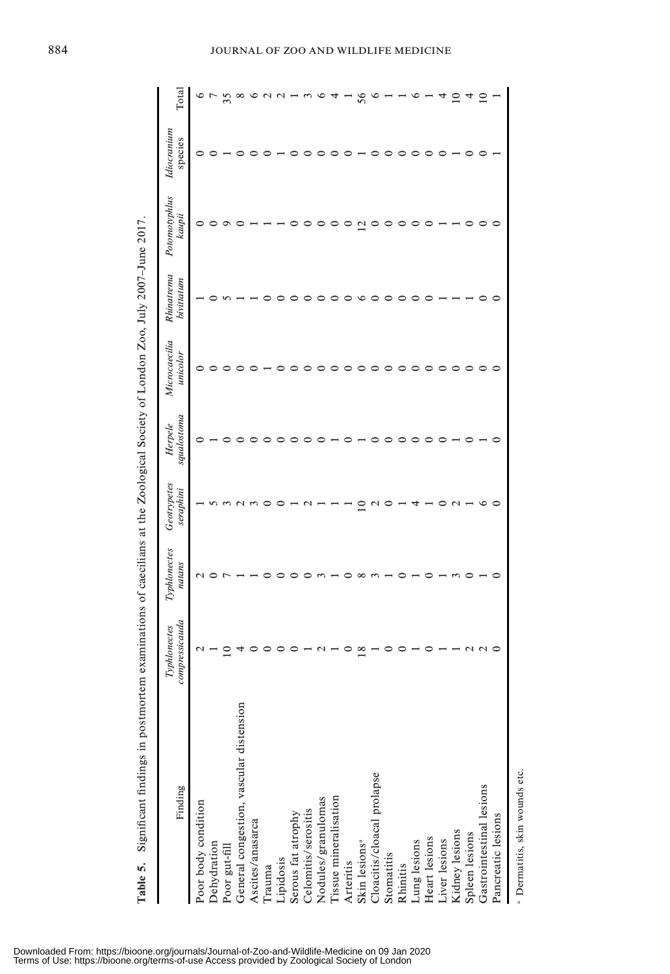| Significant findings in postmorte<br>Table 5.            | m examinations of caecilians at the Zoological Society of London Zoo, July 2007-June 2017 |                        |                          |                        |                           |                          |                         |                        |             |
|----------------------------------------------------------|-------------------------------------------------------------------------------------------|------------------------|--------------------------|------------------------|---------------------------|--------------------------|-------------------------|------------------------|-------------|
| Finding                                                  | compressicauda<br>Typhlonectes                                                            | Typhlonectes<br>natans | Geotrypetes<br>seraphini | squalostoma<br>Herpele | Microcaecilia<br>unicolor | Rhinatrema<br>bivittatum | Potomotyphlus<br>kaupii | Idiocranium<br>species | $\rm Total$ |
| Poor body condition                                      |                                                                                           |                        |                          |                        |                           |                          |                         |                        |             |
| Dehydration                                              |                                                                                           |                        |                          |                        |                           |                          |                         |                        |             |
|                                                          |                                                                                           |                        |                          |                        |                           |                          |                         |                        | 35          |
| Poor gut-fill<br>General congestion, vascular distension |                                                                                           |                        |                          |                        |                           |                          |                         |                        | $\infty$    |
| Ascites/anasarca                                         |                                                                                           |                        |                          |                        |                           |                          |                         |                        |             |
| Trauma                                                   |                                                                                           |                        |                          |                        |                           |                          |                         |                        |             |
| Lipidosis                                                |                                                                                           |                        |                          |                        |                           |                          |                         |                        |             |
| Serous fat atrophy                                       |                                                                                           |                        |                          |                        |                           |                          |                         |                        |             |
|                                                          |                                                                                           |                        |                          |                        |                           |                          |                         |                        |             |
| Celomitis/serositis<br>Nodules/granulomas                |                                                                                           |                        |                          |                        |                           |                          |                         |                        |             |
| Tissue mineralisation                                    |                                                                                           |                        |                          |                        |                           |                          |                         |                        |             |
|                                                          |                                                                                           |                        |                          |                        |                           |                          |                         |                        |             |
| Arteritis<br>Skin lesions <sup>a</sup>                   | $^{\infty}$                                                                               |                        |                          |                        |                           |                          | $\mathcal{L}$           |                        | 56          |
| Cloacitis/cloacal prolapse                               |                                                                                           |                        |                          |                        |                           |                          |                         |                        |             |
| Stomatitis                                               |                                                                                           |                        |                          |                        |                           |                          |                         |                        |             |
| Rhinitis                                                 |                                                                                           |                        |                          |                        |                           |                          |                         |                        |             |
| Lung lesions                                             |                                                                                           |                        |                          |                        |                           |                          |                         |                        |             |
| Heart lesions<br>Liver lesions<br>Kidney lesions         |                                                                                           |                        |                          |                        |                           |                          |                         |                        |             |
|                                                          |                                                                                           |                        |                          |                        |                           |                          |                         |                        |             |
|                                                          |                                                                                           |                        |                          |                        |                           |                          |                         |                        |             |
| Spleen lesions                                           |                                                                                           |                        |                          |                        |                           |                          |                         |                        |             |
| Gastrointestinal lesions                                 |                                                                                           |                        |                          |                        |                           |                          |                         |                        |             |
| Pancreatic lesions                                       |                                                                                           |                        |                          |                        |                           |                          |                         |                        |             |
|                                                          |                                                                                           |                        |                          |                        |                           |                          |                         |                        |             |

<sup>a</sup> Dermatitis, skin wounds etc. Dermatitis, skin wounds etc.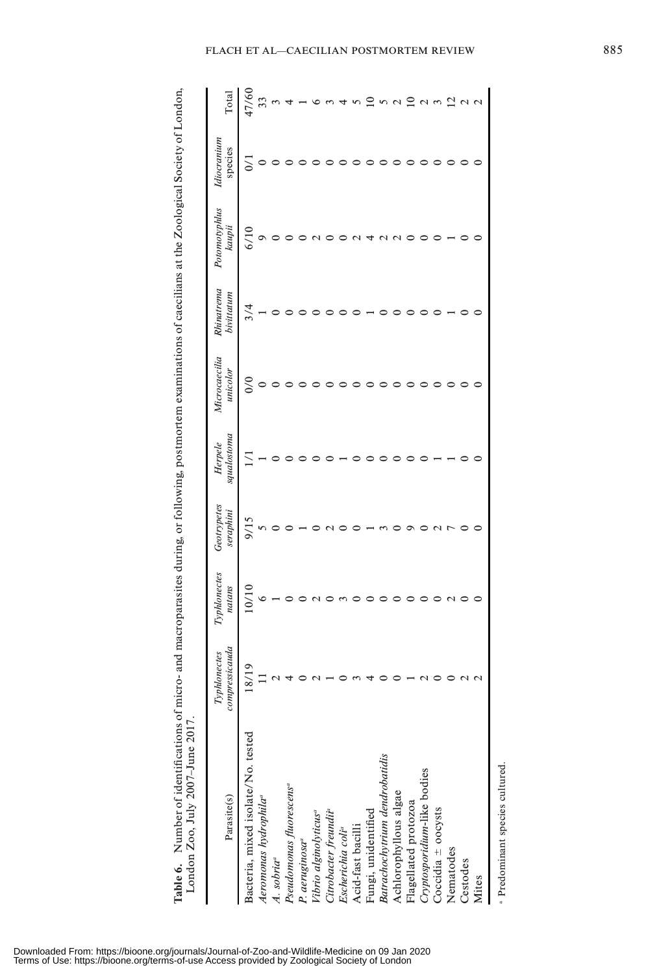Table 6. Number of identifications of micro- and macroparasites during, or following, postmortem examinations of caecilians at the Zoological Society of London,<br>London Zoo, July 2007-June 2017. Table 6. Number of identifications of micro- and macroparasites during, or following, postmortem examinations of caecilians at the Zoological Society of London, London Zoo, July 2007–June 2017.

| Parasite(s)                          | compressicauda<br>Typhlonectes | Typhlonectes<br>natans | Geotrypetes<br>seraphini | squalostoma<br>Herpele | Microcaecilia<br>unicolor | Rhinatrema<br>bivittatum | Potomotyphlus<br>kaupii | Idiocranium<br>species | Total |
|--------------------------------------|--------------------------------|------------------------|--------------------------|------------------------|---------------------------|--------------------------|-------------------------|------------------------|-------|
| Bacteria, mixed isolate/No. tested   | 8/19                           | 10/10                  | 9/15                     |                        | $\frac{0}{0}$             |                          | 6/10                    |                        | 17/60 |
| Aeromonas hydrophila <sup>ª</sup>    |                                |                        |                          |                        |                           |                          |                         | $\circ$                | 33    |
| A. sobria <sup>a</sup>               |                                |                        |                          |                        |                           |                          |                         |                        |       |
| Pseudomonas fluorescens <sup>a</sup> |                                |                        |                          |                        |                           |                          |                         |                        |       |
| P. aeruginosa <sup>a</sup>           |                                |                        |                          |                        |                           |                          |                         |                        |       |
| Vibrio alginolyticus <sup>a</sup>    |                                |                        |                          |                        |                           |                          |                         |                        |       |
| Citrobacter freundii <sup>a</sup>    |                                |                        |                          |                        |                           |                          |                         |                        |       |
| Escherichia coli <sup>a</sup>        |                                |                        |                          |                        |                           |                          |                         |                        |       |
| Acid-fast bacilli                    |                                |                        |                          |                        |                           |                          |                         |                        |       |
| Fungi, unidentified                  |                                |                        |                          |                        |                           |                          |                         |                        |       |
| Batrachochytrium dendrobatidis       |                                |                        |                          |                        |                           |                          |                         |                        |       |
| Achlorophyllous algae                |                                |                        |                          |                        |                           |                          |                         |                        |       |
| Flagellated protozoa                 |                                |                        |                          |                        |                           |                          |                         |                        |       |
| Cryptosporidium-like bodies          |                                |                        |                          |                        |                           |                          |                         |                        |       |
| Coccidia $\pm$ oocysts               |                                |                        |                          |                        |                           |                          |                         |                        |       |
| Nematodes                            |                                |                        |                          |                        |                           |                          |                         |                        |       |
| Cestodes                             |                                |                        |                          |                        |                           |                          |                         |                        |       |
| Mites                                |                                |                        |                          |                        |                           |                          |                         |                        |       |

<sup>a</sup> Predominant species cultured. Predominant species cultured.

FLACH ET AL-CAECILIAN POSTMORTEM REVIEW 885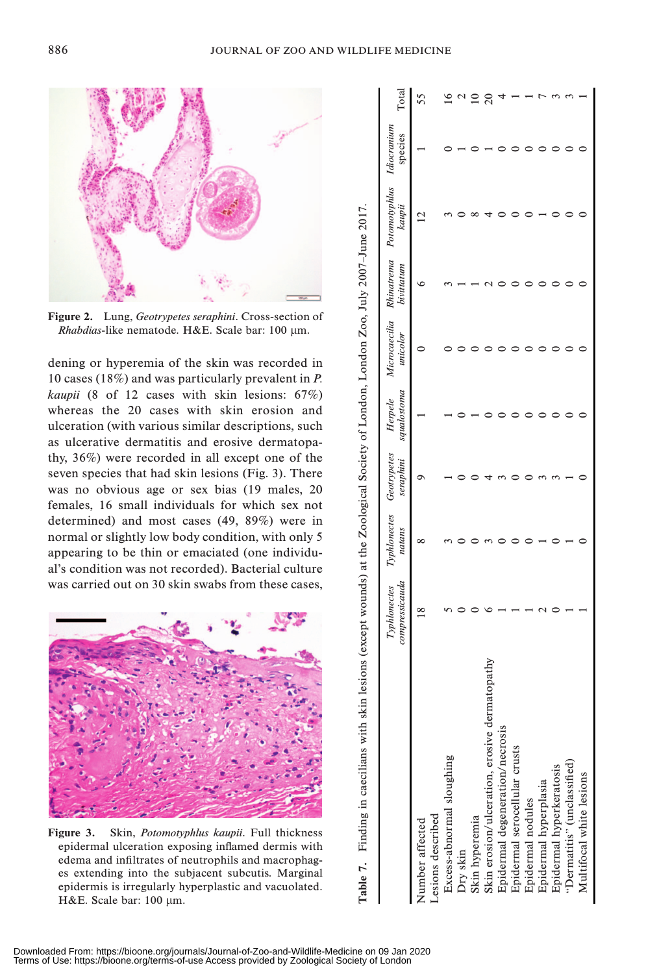

Figure 2. Lung, Geotrypetes seraphini. Cross-section of Rhabdias-like nematode. H&E. Scale bar: 100 µm.

dening or hyperemia of the skin was recorded in 10 cases (18%) and was particularly prevalent in P. kaupii (8 of 12 cases with skin lesions: 67%) whereas the 20 cases with skin erosion and ulceration (with various similar descriptions, such as ulcerative dermatitis and erosive dermatopathy, 36%) were recorded in all except one of the seven species that had skin lesions (Fig. 3). There was no obvious age or sex bias (19 males, 20 females, 16 small individuals for which sex not determined) and most cases (49, 89%) were in normal or slightly low body condition, with only 5 appearing to be thin or emaciated (one individual's condition was not recorded). Bacterial culture was carried out on 30 skin swabs from these cases,



Figure 3. Skin, Potomotyphlus kaupii. Full thickness epidermal ulceration exposing inflamed dermis with edema and infiltrates of neutrophils and macrophages extending into the subjacent subcutis. Marginal epidermis is irregularly hyperplastic and vacuolated. H&E. Scale bar: 100 µm.

| compressicauda<br>Typhlonectes | natans | seraphini | squalostoma<br>Herpele   | unicolor | <b>bivittatum</b> | kaupii         | species                                                                                      | Total                                              |
|--------------------------------|--------|-----------|--------------------------|----------|-------------------|----------------|----------------------------------------------------------------------------------------------|----------------------------------------------------|
| $\frac{8}{1}$                  |        |           |                          |          |                   | $\overline{c}$ |                                                                                              |                                                    |
|                                |        |           |                          |          |                   |                |                                                                                              |                                                    |
|                                |        |           |                          |          |                   |                |                                                                                              |                                                    |
|                                |        |           |                          |          |                   |                |                                                                                              |                                                    |
|                                |        |           |                          |          |                   |                |                                                                                              |                                                    |
|                                |        |           |                          |          |                   |                |                                                                                              |                                                    |
|                                |        |           |                          |          |                   |                |                                                                                              |                                                    |
|                                |        |           |                          |          |                   |                |                                                                                              |                                                    |
|                                |        |           |                          |          |                   |                |                                                                                              |                                                    |
|                                |        |           |                          |          |                   |                |                                                                                              |                                                    |
|                                |        |           |                          |          |                   |                |                                                                                              |                                                    |
|                                |        |           |                          |          |                   |                |                                                                                              |                                                    |
|                                |        |           | Typhlonectes Geotrypetes |          |                   |                | lesions (except wounds) at the Zoological Society of London, London Zoo, July 2007-June 2017 | Microcaecilia Rhinatrema Potomotyphlus Idiocranium |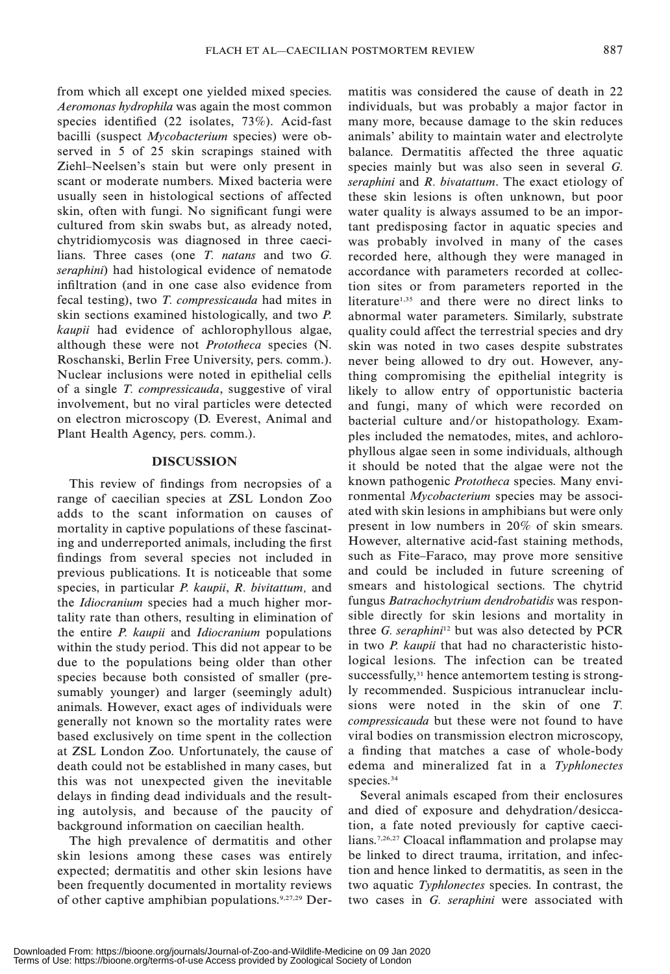from which all except one yielded mixed species. Aeromonas hydrophila was again the most common species identified (22 isolates, 73%). Acid-fast bacilli (suspect Mycobacterium species) were observed in 5 of 25 skin scrapings stained with Ziehl–Neelsen's stain but were only present in scant or moderate numbers. Mixed bacteria were usually seen in histological sections of affected skin, often with fungi. No significant fungi were cultured from skin swabs but, as already noted, chytridiomycosis was diagnosed in three caecilians. Three cases (one T. natans and two G. seraphini) had histological evidence of nematode infiltration (and in one case also evidence from fecal testing), two T. compressicauda had mites in skin sections examined histologically, and two P. kaupii had evidence of achlorophyllous algae, although these were not Prototheca species (N. Roschanski, Berlin Free University, pers. comm.). Nuclear inclusions were noted in epithelial cells of a single T. compressicauda, suggestive of viral involvement, but no viral particles were detected on electron microscopy (D. Everest, Animal and Plant Health Agency, pers. comm.).

## **DISCUSSION**

This review of findings from necropsies of a range of caecilian species at ZSL London Zoo adds to the scant information on causes of mortality in captive populations of these fascinating and underreported animals, including the first findings from several species not included in previous publications. It is noticeable that some species, in particular *P. kaupii*, *R. bivitattum*, and the Idiocranium species had a much higher mortality rate than others, resulting in elimination of the entire P. kaupii and Idiocranium populations within the study period. This did not appear to be due to the populations being older than other species because both consisted of smaller (presumably younger) and larger (seemingly adult) animals. However, exact ages of individuals were generally not known so the mortality rates were based exclusively on time spent in the collection at ZSL London Zoo. Unfortunately, the cause of death could not be established in many cases, but this was not unexpected given the inevitable delays in finding dead individuals and the resulting autolysis, and because of the paucity of background information on caecilian health.

The high prevalence of dermatitis and other skin lesions among these cases was entirely expected; dermatitis and other skin lesions have been frequently documented in mortality reviews of other captive amphibian populations.9,27,29 Dermatitis was considered the cause of death in 22 individuals, but was probably a major factor in many more, because damage to the skin reduces animals' ability to maintain water and electrolyte balance. Dermatitis affected the three aquatic species mainly but was also seen in several G. seraphini and R. bivatattum. The exact etiology of these skin lesions is often unknown, but poor water quality is always assumed to be an important predisposing factor in aquatic species and was probably involved in many of the cases recorded here, although they were managed in accordance with parameters recorded at collection sites or from parameters reported in the literature<sup>1,35</sup> and there were no direct links to abnormal water parameters. Similarly, substrate quality could affect the terrestrial species and dry skin was noted in two cases despite substrates never being allowed to dry out. However, anything compromising the epithelial integrity is likely to allow entry of opportunistic bacteria and fungi, many of which were recorded on bacterial culture and/or histopathology. Examples included the nematodes, mites, and achlorophyllous algae seen in some individuals, although it should be noted that the algae were not the known pathogenic Prototheca species. Many environmental Mycobacterium species may be associated with skin lesions in amphibians but were only present in low numbers in 20% of skin smears. However, alternative acid-fast staining methods, such as Fite–Faraco, may prove more sensitive and could be included in future screening of smears and histological sections. The chytrid fungus Batrachochytrium dendrobatidis was responsible directly for skin lesions and mortality in three  $G$ . seraphini<sup>12</sup> but was also detected by PCR in two P. kaupii that had no characteristic histological lesions. The infection can be treated successfully,<sup>31</sup> hence antemortem testing is strongly recommended. Suspicious intranuclear inclusions were noted in the skin of one T. compressicauda but these were not found to have viral bodies on transmission electron microscopy, a finding that matches a case of whole-body edema and mineralized fat in a Typhlonectes species.<sup>34</sup>

Several animals escaped from their enclosures and died of exposure and dehydration/desiccation, a fate noted previously for captive caecilians.7,26,27 Cloacal inflammation and prolapse may be linked to direct trauma, irritation, and infection and hence linked to dermatitis, as seen in the two aquatic Typhlonectes species. In contrast, the two cases in G. seraphini were associated with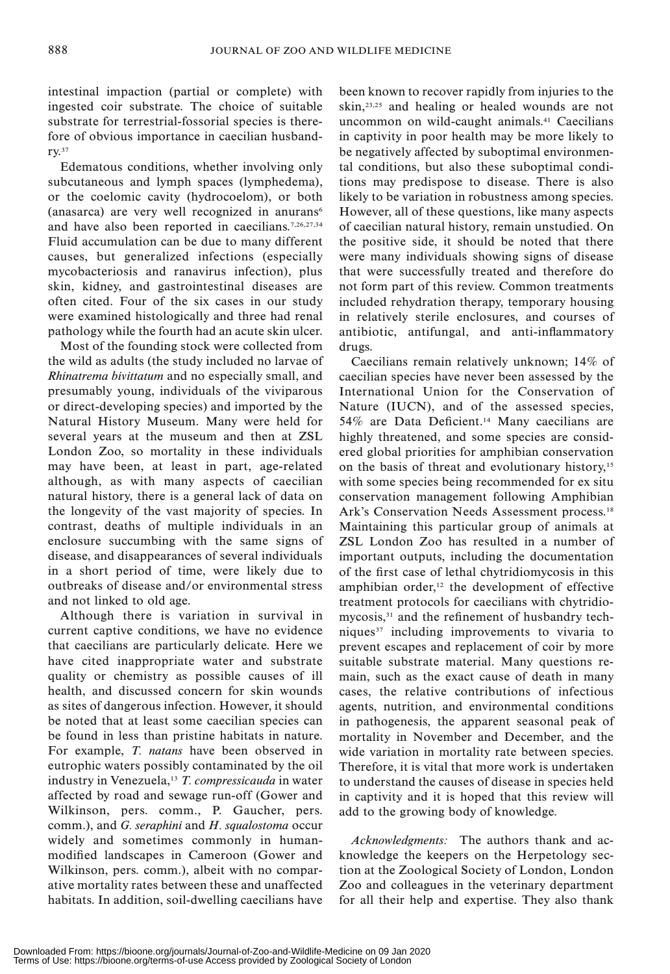intestinal impaction (partial or complete) with ingested coir substrate. The choice of suitable substrate for terrestrial-fossorial species is therefore of obvious importance in caecilian husbandry.37

Edematous conditions, whether involving only subcutaneous and lymph spaces (lymphedema), or the coelomic cavity (hydrocoelom), or both (anasarca) are very well recognized in anurans<sup>6</sup> and have also been reported in caecilians.7,26,27,34 Fluid accumulation can be due to many different causes, but generalized infections (especially mycobacteriosis and ranavirus infection), plus skin, kidney, and gastrointestinal diseases are often cited. Four of the six cases in our study were examined histologically and three had renal pathology while the fourth had an acute skin ulcer.

Most of the founding stock were collected from the wild as adults (the study included no larvae of Rhinatrema bivittatum and no especially small, and presumably young, individuals of the viviparous or direct-developing species) and imported by the Natural History Museum. Many were held for several years at the museum and then at ZSL London Zoo, so mortality in these individuals may have been, at least in part, age-related although, as with many aspects of caecilian natural history, there is a general lack of data on the longevity of the vast majority of species. In contrast, deaths of multiple individuals in an enclosure succumbing with the same signs of disease, and disappearances of several individuals in a short period of time, were likely due to outbreaks of disease and/or environmental stress and not linked to old age.

Although there is variation in survival in current captive conditions, we have no evidence that caecilians are particularly delicate. Here we have cited inappropriate water and substrate quality or chemistry as possible causes of ill health, and discussed concern for skin wounds as sites of dangerous infection. However, it should be noted that at least some caecilian species can be found in less than pristine habitats in nature. For example, T. natans have been observed in eutrophic waters possibly contaminated by the oil industry in Venezuela,<sup>13</sup> T. compressicauda in water affected by road and sewage run-off (Gower and Wilkinson, pers. comm., P. Gaucher, pers. comm.), and G. seraphini and H. squalostoma occur widely and sometimes commonly in humanmodified landscapes in Cameroon (Gower and Wilkinson, pers. comm.), albeit with no comparative mortality rates between these and unaffected habitats. In addition, soil-dwelling caecilians have

been known to recover rapidly from injuries to the skin,<sup>23,25</sup> and healing or healed wounds are not uncommon on wild-caught animals.<sup>41</sup> Caecilians in captivity in poor health may be more likely to be negatively affected by suboptimal environmental conditions, but also these suboptimal conditions may predispose to disease. There is also likely to be variation in robustness among species. However, all of these questions, like many aspects of caecilian natural history, remain unstudied. On the positive side, it should be noted that there were many individuals showing signs of disease that were successfully treated and therefore do not form part of this review. Common treatments included rehydration therapy, temporary housing in relatively sterile enclosures, and courses of antibiotic, antifungal, and anti-inflammatory drugs.

Caecilians remain relatively unknown; 14% of caecilian species have never been assessed by the International Union for the Conservation of Nature (IUCN), and of the assessed species, 54% are Data Deficient.<sup>14</sup> Many caecilians are highly threatened, and some species are considered global priorities for amphibian conservation on the basis of threat and evolutionary history,<sup>15</sup> with some species being recommended for ex situ conservation management following Amphibian Ark's Conservation Needs Assessment process.<sup>18</sup> Maintaining this particular group of animals at ZSL London Zoo has resulted in a number of important outputs, including the documentation of the first case of lethal chytridiomycosis in this amphibian order, $12$  the development of effective treatment protocols for caecilians with chytridiomycosis,<sup>31</sup> and the refinement of husbandry techniques $37$  including improvements to vivaria to prevent escapes and replacement of coir by more suitable substrate material. Many questions remain, such as the exact cause of death in many cases, the relative contributions of infectious agents, nutrition, and environmental conditions in pathogenesis, the apparent seasonal peak of mortality in November and December, and the wide variation in mortality rate between species. Therefore, it is vital that more work is undertaken to understand the causes of disease in species held in captivity and it is hoped that this review will add to the growing body of knowledge.

Acknowledgments: The authors thank and acknowledge the keepers on the Herpetology section at the Zoological Society of London, London Zoo and colleagues in the veterinary department for all their help and expertise. They also thank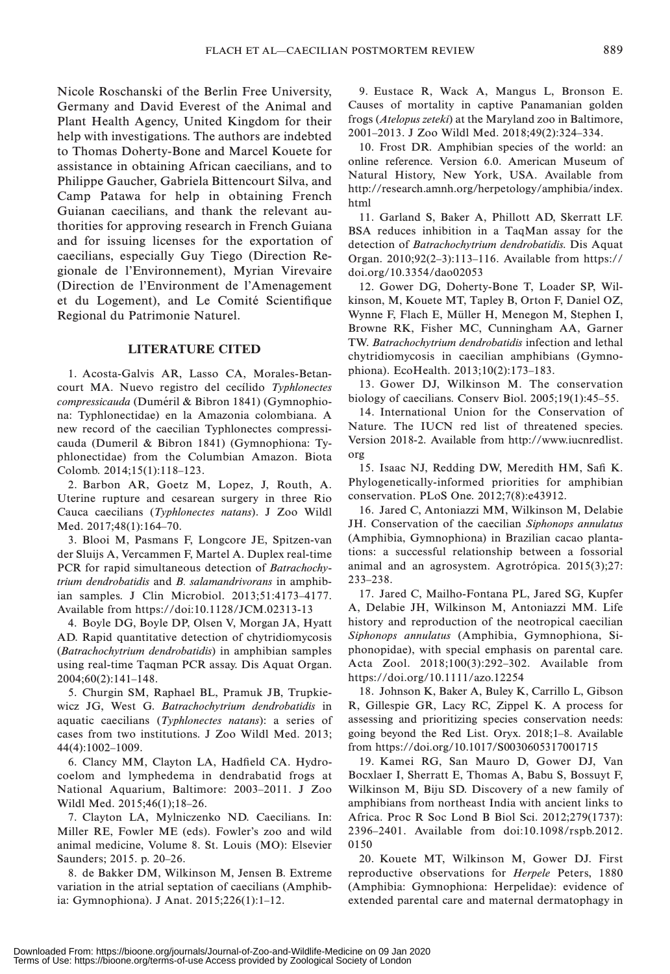Nicole Roschanski of the Berlin Free University, Germany and David Everest of the Animal and Plant Health Agency, United Kingdom for their help with investigations. The authors are indebted to Thomas Doherty-Bone and Marcel Kouete for assistance in obtaining African caecilians, and to Philippe Gaucher, Gabriela Bittencourt Silva, and Camp Patawa for help in obtaining French Guianan caecilians, and thank the relevant authorities for approving research in French Guiana and for issuing licenses for the exportation of caecilians, especially Guy Tiego (Direction Regionale de l'Environnement), Myrian Virevaire (Direction de l'Environment de l'Amenagement et du Logement), and Le Comité Scientifique Regional du Patrimonie Naturel.

#### LITERATURE CITED

1. Acosta-Galvis AR, Lasso CA, Morales-Betancourt MA. Nuevo registro del cecílido Typhlonectes compressicauda (Duméril & Bibron 1841) (Gymnophiona: Typhlonectidae) en la Amazonia colombiana. A new record of the caecilian Typhlonectes compressicauda (Dumeril & Bibron 1841) (Gymnophiona: Typhlonectidae) from the Columbian Amazon. Biota Colomb. 2014;15(1):118–123.

2. Barbon AR, Goetz M, Lopez, J, Routh, A. Uterine rupture and cesarean surgery in three Rio Cauca caecilians (Typhlonectes natans). J Zoo Wildl Med. 2017;48(1):164–70.

3. Blooi M, Pasmans F, Longcore JE, Spitzen-van der Sluijs A, Vercammen F, Martel A. Duplex real-time PCR for rapid simultaneous detection of Batrachochytrium dendrobatidis and B. salamandrivorans in amphibian samples. J Clin Microbiol. 2013;51:4173–4177. Available from https://doi:10.1128/JCM.02313-13

4. Boyle DG, Boyle DP, Olsen V, Morgan JA, Hyatt AD. Rapid quantitative detection of chytridiomycosis (Batrachochytrium dendrobatidis) in amphibian samples using real-time Taqman PCR assay. Dis Aquat Organ. 2004;60(2):141–148.

5. Churgin SM, Raphael BL, Pramuk JB, Trupkiewicz JG, West G. Batrachochytrium dendrobatidis in aquatic caecilians (Typhlonectes natans): a series of cases from two institutions. J Zoo Wildl Med. 2013; 44(4):1002–1009.

6. Clancy MM, Clayton LA, Hadfield CA. Hydrocoelom and lymphedema in dendrabatid frogs at National Aquarium, Baltimore: 2003–2011. J Zoo Wildl Med. 2015;46(1);18–26.

7. Clayton LA, Mylniczenko ND. Caecilians. In: Miller RE, Fowler ME (eds). Fowler's zoo and wild animal medicine, Volume 8. St. Louis (MO): Elsevier Saunders; 2015. p. 20–26.

8. de Bakker DM, Wilkinson M, Jensen B. Extreme variation in the atrial septation of caecilians (Amphibia: Gymnophiona). J Anat. 2015;226(1):1–12.

9. Eustace R, Wack A, Mangus L, Bronson E. Causes of mortality in captive Panamanian golden frogs (Atelopus zeteki) at the Maryland zoo in Baltimore, 2001–2013. J Zoo Wildl Med. 2018;49(2):324–334.

10. Frost DR. Amphibian species of the world: an online reference. Version 6.0. American Museum of Natural History, New York, USA. Available from http://research.amnh.org/herpetology/amphibia/index. html

11. Garland S, Baker A, Phillott AD, Skerratt LF. BSA reduces inhibition in a TaqMan assay for the detection of Batrachochytrium dendrobatidis. Dis Aquat Organ. 2010;92(2–3):113–116. Available from https:// doi.org/10.3354/dao02053

12. Gower DG, Doherty-Bone T, Loader SP, Wilkinson, M, Kouete MT, Tapley B, Orton F, Daniel OZ, Wynne F, Flach E, Müller H, Menegon M, Stephen I, Browne RK, Fisher MC, Cunningham AA, Garner TW. Batrachochytrium dendrobatidis infection and lethal chytridiomycosis in caecilian amphibians (Gymnophiona). EcoHealth. 2013;10(2):173–183.

13. Gower DJ, Wilkinson M. The conservation biology of caecilians. Conserv Biol. 2005;19(1):45–55.

14. International Union for the Conservation of Nature. The IUCN red list of threatened species. Version 2018-2. Available from http://www.iucnredlist. org

15. Isaac NJ, Redding DW, Meredith HM, Safi K. Phylogenetically-informed priorities for amphibian conservation. PLoS One. 2012;7(8):e43912.

16. Jared C, Antoniazzi MM, Wilkinson M, Delabie JH. Conservation of the caecilian Siphonops annulatus (Amphibia, Gymnophiona) in Brazilian cacao plantations: a successful relationship between a fossorial animal and an agrosystem. Agrotrópica.  $2015(3);27$ : 233–238.

17. Jared C, Mailho-Fontana PL, Jared SG, Kupfer A, Delabie JH, Wilkinson M, Antoniazzi MM. Life history and reproduction of the neotropical caecilian Siphonops annulatus (Amphibia, Gymnophiona, Siphonopidae), with special emphasis on parental care. Acta Zool. 2018;100(3):292–302. Available from https://doi.org/10.1111/azo.12254

18. Johnson K, Baker A, Buley K, Carrillo L, Gibson R, Gillespie GR, Lacy RC, Zippel K. A process for assessing and prioritizing species conservation needs: going beyond the Red List. Oryx. 2018;1–8. Available from https://doi.org/10.1017/S0030605317001715

19. Kamei RG, San Mauro D, Gower DJ, Van Bocxlaer I, Sherratt E, Thomas A, Babu S, Bossuyt F, Wilkinson M, Biju SD. Discovery of a new family of amphibians from northeast India with ancient links to Africa. Proc R Soc Lond B Biol Sci. 2012;279(1737): 2396–2401. Available from doi:10.1098/rspb.2012. 0150

20. Kouete MT, Wilkinson M, Gower DJ. First reproductive observations for Herpele Peters, 1880 (Amphibia: Gymnophiona: Herpelidae): evidence of extended parental care and maternal dermatophagy in